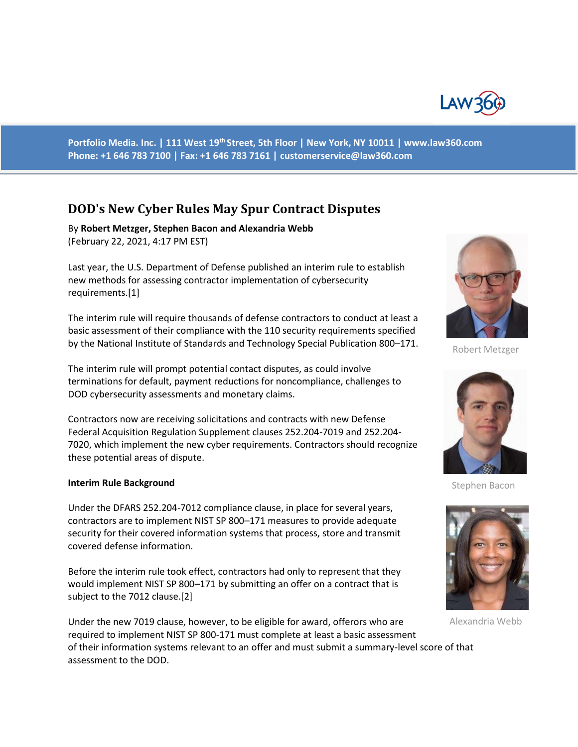

**Portfolio Media. Inc. | 111 West 19th Street, 5th Floor | New York, NY 10011 | www.law360.com Phone: +1 646 783 7100 | Fax: +1 646 783 7161 | customerservice@law360.com**

# **DOD's New Cyber Rules May Spur Contract Disputes**

By **Robert Metzger, Stephen Bacon and Alexandria Webb**  (February 22, 2021, 4:17 PM EST)

Last year, the U.S. Department of Defense published an interim rule to establish new methods for assessing contractor implementation of cybersecurity requirements.[1]

The interim rule will require thousands of defense contractors to conduct at least a basic assessment of their compliance with the 110 security requirements specified by the National Institute of Standards and Technology Special Publication 800–171.

The interim rule will prompt potential contact disputes, as could involve terminations for default, payment reductions for noncompliance, challenges to DOD cybersecurity assessments and monetary claims.

Contractors now are receiving solicitations and contracts with new Defense Federal Acquisition Regulation Supplement clauses 252.204-7019 and 252.204- 7020, which implement the new cyber requirements. Contractors should recognize these potential areas of dispute.

#### **Interim Rule Background**

Under the DFARS 252.204-7012 compliance clause, in place for several years, contractors are to implement NIST SP 800–171 measures to provide adequate security for their covered information systems that process, store and transmit covered defense information.

Before the interim rule took effect, contractors had only to represent that they would implement NIST SP 800–171 by submitting an offer on a contract that is subject to the 7012 clause.[2]

Under the new 7019 clause, however, to be eligible for award, offerors who are required to implement NIST SP 800-171 must complete at least a basic assessment of their information systems relevant to an offer and must submit a summary-level score of that assessment to the DOD.



Robert Metzger



Stephen Bacon



Alexandria Webb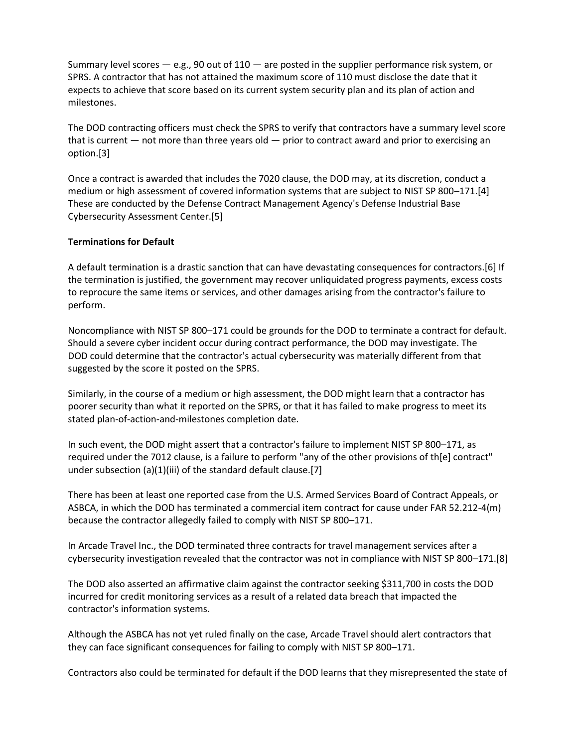Summary level scores  $-$  e.g., 90 out of 110  $-$  are posted in the supplier performance risk system, or SPRS. A contractor that has not attained the maximum score of 110 must disclose the date that it expects to achieve that score based on its current system security plan and its plan of action and milestones.

The DOD contracting officers must check the SPRS to verify that contractors have a summary level score that is current — not more than three years old — prior to contract award and prior to exercising an option.[3]

Once a contract is awarded that includes the 7020 clause, the DOD may, at its discretion, conduct a medium or high assessment of covered information systems that are subject to NIST SP 800–171.[4] These are conducted by the Defense Contract Management Agency's Defense Industrial Base Cybersecurity Assessment Center.[5]

## **Terminations for Default**

A default termination is a drastic sanction that can have devastating consequences for contractors.[6] If the termination is justified, the government may recover unliquidated progress payments, excess costs to reprocure the same items or services, and other damages arising from the contractor's failure to perform.

Noncompliance with NIST SP 800–171 could be grounds for the DOD to terminate a contract for default. Should a severe cyber incident occur during contract performance, the DOD may investigate. The DOD could determine that the contractor's actual cybersecurity was materially different from that suggested by the score it posted on the SPRS.

Similarly, in the course of a medium or high assessment, the DOD might learn that a contractor has poorer security than what it reported on the SPRS, or that it has failed to make progress to meet its stated plan-of-action-and-milestones completion date.

In such event, the DOD might assert that a contractor's failure to implement NIST SP 800–171, as required under the 7012 clause, is a failure to perform "any of the other provisions of th[e] contract" under subsection (a)(1)(iii) of the standard default clause.[7]

There has been at least one reported case from the U.S. Armed Services Board of Contract Appeals, or ASBCA, in which the DOD has terminated a commercial item contract for cause under FAR 52.212-4(m) because the contractor allegedly failed to comply with NIST SP 800–171.

In Arcade Travel Inc., the DOD terminated three contracts for travel management services after a cybersecurity investigation revealed that the contractor was not in compliance with NIST SP 800–171.[8]

The DOD also asserted an affirmative claim against the contractor seeking \$311,700 in costs the DOD incurred for credit monitoring services as a result of a related data breach that impacted the contractor's information systems.

Although the ASBCA has not yet ruled finally on the case, Arcade Travel should alert contractors that they can face significant consequences for failing to comply with NIST SP 800–171.

Contractors also could be terminated for default if the DOD learns that they misrepresented the state of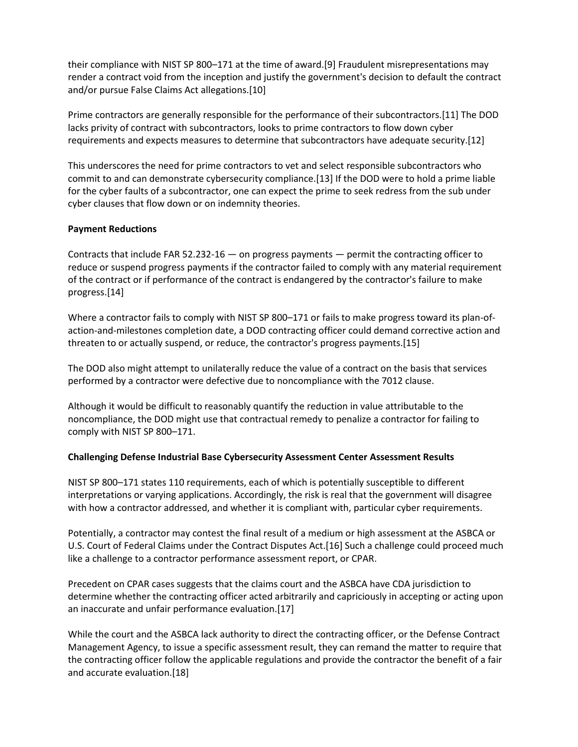their compliance with NIST SP 800–171 at the time of award.[9] Fraudulent misrepresentations may render a contract void from the inception and justify the government's decision to default the contract and/or pursue False Claims Act allegations.[10]

Prime contractors are generally responsible for the performance of their subcontractors.[11] The DOD lacks privity of contract with subcontractors, looks to prime contractors to flow down cyber requirements and expects measures to determine that subcontractors have adequate security.[12]

This underscores the need for prime contractors to vet and select responsible subcontractors who commit to and can demonstrate cybersecurity compliance.[13] If the DOD were to hold a prime liable for the cyber faults of a subcontractor, one can expect the prime to seek redress from the sub under cyber clauses that flow down or on indemnity theories.

## **Payment Reductions**

Contracts that include FAR 52.232-16 — on progress payments — permit the contracting officer to reduce or suspend progress payments if the contractor failed to comply with any material requirement of the contract or if performance of the contract is endangered by the contractor's failure to make progress.[14]

Where a contractor fails to comply with NIST SP 800–171 or fails to make progress toward its plan-ofaction-and-milestones completion date, a DOD contracting officer could demand corrective action and threaten to or actually suspend, or reduce, the contractor's progress payments.[15]

The DOD also might attempt to unilaterally reduce the value of a contract on the basis that services performed by a contractor were defective due to noncompliance with the 7012 clause.

Although it would be difficult to reasonably quantify the reduction in value attributable to the noncompliance, the DOD might use that contractual remedy to penalize a contractor for failing to comply with NIST SP 800–171.

## **Challenging Defense Industrial Base Cybersecurity Assessment Center Assessment Results**

NIST SP 800–171 states 110 requirements, each of which is potentially susceptible to different interpretations or varying applications. Accordingly, the risk is real that the government will disagree with how a contractor addressed, and whether it is compliant with, particular cyber requirements.

Potentially, a contractor may contest the final result of a medium or high assessment at the ASBCA or U.S. Court of Federal Claims under the Contract Disputes Act.[16] Such a challenge could proceed much like a challenge to a contractor performance assessment report, or CPAR.

Precedent on CPAR cases suggests that the claims court and the ASBCA have CDA jurisdiction to determine whether the contracting officer acted arbitrarily and capriciously in accepting or acting upon an inaccurate and unfair performance evaluation.[17]

While the court and the ASBCA lack authority to direct the contracting officer, or the Defense Contract Management Agency, to issue a specific assessment result, they can remand the matter to require that the contracting officer follow the applicable regulations and provide the contractor the benefit of a fair and accurate evaluation.[18]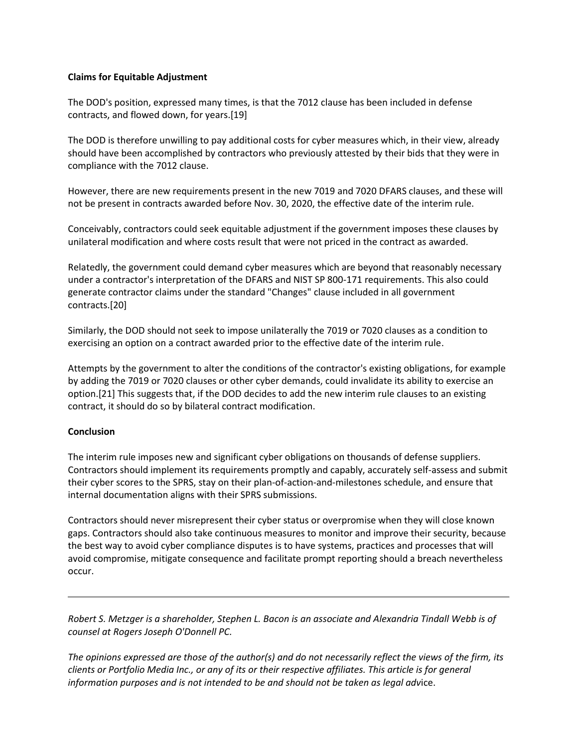## **Claims for Equitable Adjustment**

The DOD's position, expressed many times, is that the 7012 clause has been included in defense contracts, and flowed down, for years.[19]

The DOD is therefore unwilling to pay additional costs for cyber measures which, in their view, already should have been accomplished by contractors who previously attested by their bids that they were in compliance with the 7012 clause.

However, there are new requirements present in the new 7019 and 7020 DFARS clauses, and these will not be present in contracts awarded before Nov. 30, 2020, the effective date of the interim rule.

Conceivably, contractors could seek equitable adjustment if the government imposes these clauses by unilateral modification and where costs result that were not priced in the contract as awarded.

Relatedly, the government could demand cyber measures which are beyond that reasonably necessary under a contractor's interpretation of the DFARS and NIST SP 800-171 requirements. This also could generate contractor claims under the standard "Changes" clause included in all government contracts.[20]

Similarly, the DOD should not seek to impose unilaterally the 7019 or 7020 clauses as a condition to exercising an option on a contract awarded prior to the effective date of the interim rule.

Attempts by the government to alter the conditions of the contractor's existing obligations, for example by adding the 7019 or 7020 clauses or other cyber demands, could invalidate its ability to exercise an option.[21] This suggests that, if the DOD decides to add the new interim rule clauses to an existing contract, it should do so by bilateral contract modification.

## **Conclusion**

The interim rule imposes new and significant cyber obligations on thousands of defense suppliers. Contractors should implement its requirements promptly and capably, accurately self-assess and submit their cyber scores to the SPRS, stay on their plan-of-action-and-milestones schedule, and ensure that internal documentation aligns with their SPRS submissions.

Contractors should never misrepresent their cyber status or overpromise when they will close known gaps. Contractors should also take continuous measures to monitor and improve their security, because the best way to avoid cyber compliance disputes is to have systems, practices and processes that will avoid compromise, mitigate consequence and facilitate prompt reporting should a breach nevertheless occur.

*Robert S. Metzger is a shareholder, Stephen L. Bacon is an associate and Alexandria Tindall Webb is of counsel at Rogers Joseph O'Donnell PC.*

*The opinions expressed are those of the author(s) and do not necessarily reflect the views of the firm, its clients or Portfolio Media Inc., or any of its or their respective affiliates. This article is for general information purposes and is not intended to be and should not be taken as legal adv*ice.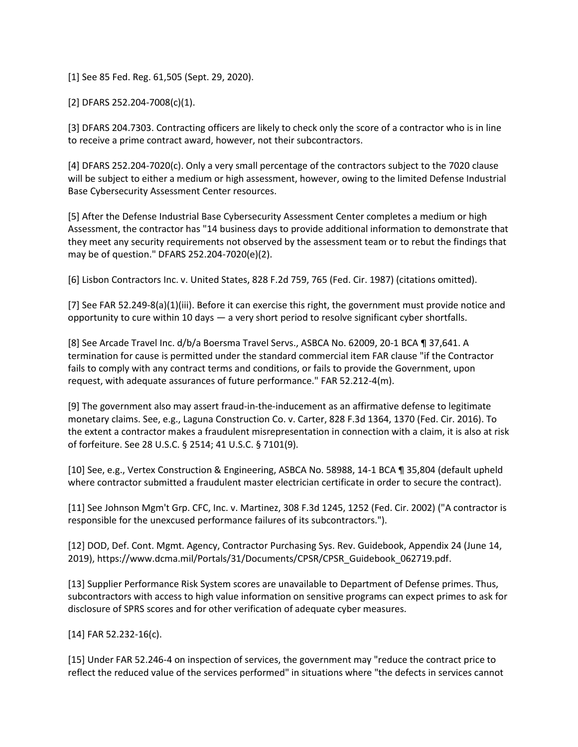[1] See 85 Fed. Reg. 61,505 (Sept. 29, 2020).

[2] DFARS 252.204-7008(c)(1).

[3] DFARS 204.7303. Contracting officers are likely to check only the score of a contractor who is in line to receive a prime contract award, however, not their subcontractors.

[4] DFARS 252.204-7020(c). Only a very small percentage of the contractors subject to the 7020 clause will be subject to either a medium or high assessment, however, owing to the limited Defense Industrial Base Cybersecurity Assessment Center resources.

[5] After the Defense Industrial Base Cybersecurity Assessment Center completes a medium or high Assessment, the contractor has "14 business days to provide additional information to demonstrate that they meet any security requirements not observed by the assessment team or to rebut the findings that may be of question." DFARS 252.204-7020(e)(2).

[6] Lisbon Contractors Inc. v. United States, 828 F.2d 759, 765 (Fed. Cir. 1987) (citations omitted).

[7] See FAR 52.249-8(a)(1)(iii). Before it can exercise this right, the government must provide notice and opportunity to cure within 10 days — a very short period to resolve significant cyber shortfalls.

[8] See Arcade Travel Inc. d/b/a Boersma Travel Servs., ASBCA No. 62009, 20-1 BCA ¶ 37,641. A termination for cause is permitted under the standard commercial item FAR clause "if the Contractor fails to comply with any contract terms and conditions, or fails to provide the Government, upon request, with adequate assurances of future performance." FAR 52.212-4(m).

[9] The government also may assert fraud-in-the-inducement as an affirmative defense to legitimate monetary claims. See, e.g., Laguna Construction Co. v. Carter, 828 F.3d 1364, 1370 (Fed. Cir. 2016). To the extent a contractor makes a fraudulent misrepresentation in connection with a claim, it is also at risk of forfeiture. See 28 U.S.C. § 2514; 41 U.S.C. § 7101(9).

[10] See, e.g., Vertex Construction & Engineering, ASBCA No. 58988, 14-1 BCA ¶ 35,804 (default upheld where contractor submitted a fraudulent master electrician certificate in order to secure the contract).

[11] See Johnson Mgm't Grp. CFC, Inc. v. Martinez, 308 F.3d 1245, 1252 (Fed. Cir. 2002) ("A contractor is responsible for the unexcused performance failures of its subcontractors.").

[12] DOD, Def. Cont. Mgmt. Agency, Contractor Purchasing Sys. Rev. Guidebook, Appendix 24 (June 14, 2019), https://www.dcma.mil/Portals/31/Documents/CPSR/CPSR\_Guidebook\_062719.pdf.

[13] Supplier Performance Risk System scores are unavailable to Department of Defense primes. Thus, subcontractors with access to high value information on sensitive programs can expect primes to ask for disclosure of SPRS scores and for other verification of adequate cyber measures.

[14] FAR 52.232-16(c).

[15] Under FAR 52.246-4 on inspection of services, the government may "reduce the contract price to reflect the reduced value of the services performed" in situations where "the defects in services cannot